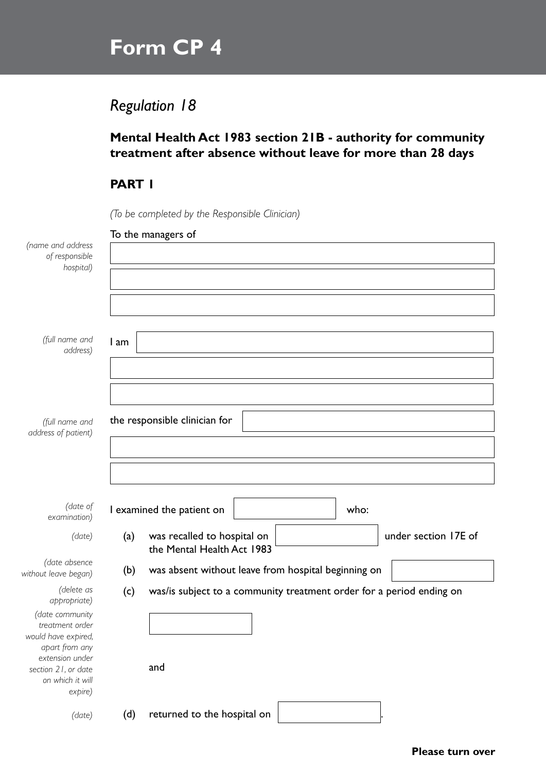# **Form CP 4**

## *Regulation 18*

### **Mental Health Act 1983 section 21B - authority for community treatment after absence without leave for more than 28 days**

#### **PART 1**

*(To be completed by the Responsible Clinician)*

| (name and address<br>of responsible                                         |      | To the managers of                                                                |  |
|-----------------------------------------------------------------------------|------|-----------------------------------------------------------------------------------|--|
| hospital)                                                                   |      |                                                                                   |  |
|                                                                             |      |                                                                                   |  |
| (full name and<br>address)                                                  | 1 am |                                                                                   |  |
|                                                                             |      |                                                                                   |  |
| (full name and<br>address of patient)                                       |      | the responsible clinician for                                                     |  |
|                                                                             |      |                                                                                   |  |
| (date of<br>examination)                                                    |      | I examined the patient on<br>who:                                                 |  |
| (date)                                                                      | (a)  | under section 17E of<br>was recalled to hospital on<br>the Mental Health Act 1983 |  |
| (date absence<br>without leave began)                                       | (b)  | was absent without leave from hospital beginning on                               |  |
| (delete as<br>appropriate)                                                  | (c)  | was/is subject to a community treatment order for a period ending on              |  |
| (date community<br>treatment order<br>would have expired,<br>apart from any |      |                                                                                   |  |
| extension under<br>section 21, or date<br>on which it will<br>expire)       |      | and                                                                               |  |
| (date)                                                                      | (d)  | returned to the hospital on                                                       |  |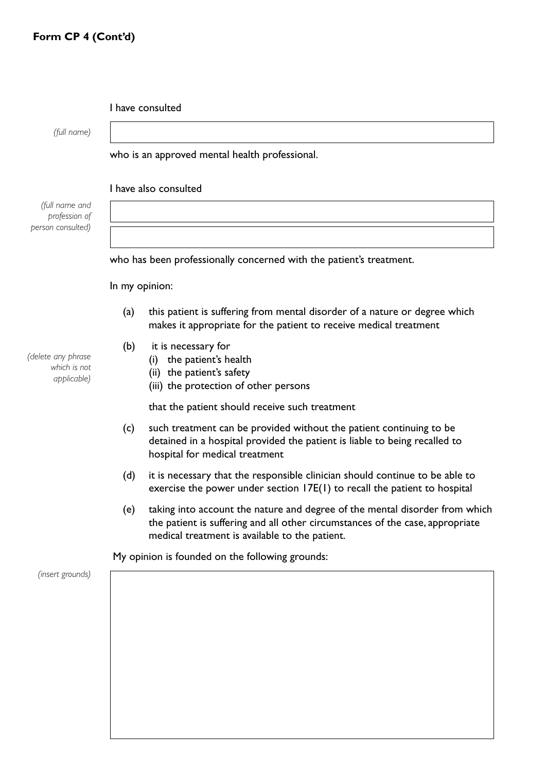|  | I have consulted |
|--|------------------|
|--|------------------|

*(full name)*

#### who is an approved mental health professional.

I have also consulted

*(full name and profession of person consulted)*

who has been professionally concerned with the patient's treatment.

In my opinion:

- (a) this patient is suffering from mental disorder of a nature or degree which makes it appropriate for the patient to receive medical treatment
- (b) it is necessary for
	- (i) the patient's health
	- (ii) the patient's safety
	- (iii) the protection of other persons

that the patient should receive such treatment

- (c) such treatment can be provided without the patient continuing to be detained in a hospital provided the patient is liable to being recalled to hospital for medical treatment
- (d) it is necessary that the responsible clinician should continue to be able to exercise the power under section 17E(1) to recall the patient to hospital
- (e) taking into account the nature and degree of the mental disorder from which the patient is suffering and all other circumstances of the case, appropriate medical treatment is available to the patient.

My opinion is founded on the following grounds:

*(insert grounds)*

*(delete any phrase which is not applicable)*